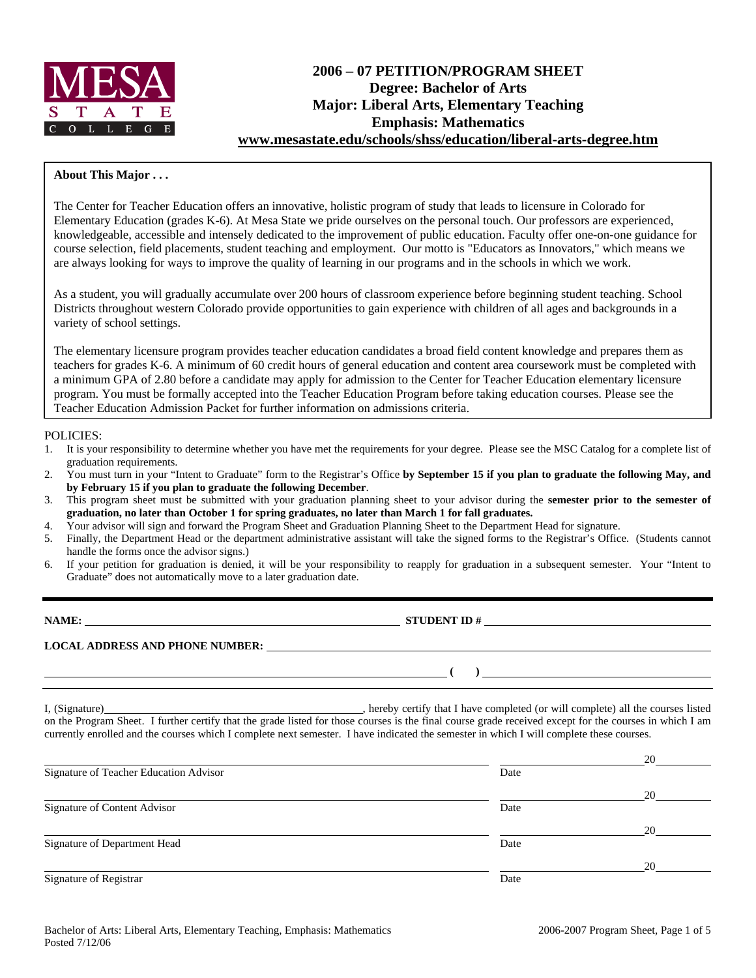

## **2006 – 07 PETITION/PROGRAM SHEET Degree: Bachelor of Arts Major: Liberal Arts, Elementary Teaching Emphasis: Mathematics www.mesastate.edu/schools/shss/education/liberal-arts-degree.htm**

## **About This Major . . .**

The Center for Teacher Education offers an innovative, holistic program of study that leads to licensure in Colorado for Elementary Education (grades K-6). At Mesa State we pride ourselves on the personal touch. Our professors are experienced, knowledgeable, accessible and intensely dedicated to the improvement of public education. Faculty offer one-on-one guidance for course selection, field placements, student teaching and employment. Our motto is "Educators as Innovators," which means we are always looking for ways to improve the quality of learning in our programs and in the schools in which we work.

As a student, you will gradually accumulate over 200 hours of classroom experience before beginning student teaching. School Districts throughout western Colorado provide opportunities to gain experience with children of all ages and backgrounds in a variety of school settings.

The elementary licensure program provides teacher education candidates a broad field content knowledge and prepares them as teachers for grades K-6. A minimum of 60 credit hours of general education and content area coursework must be completed with a minimum GPA of 2.80 before a candidate may apply for admission to the Center for Teacher Education elementary licensure program. You must be formally accepted into the Teacher Education Program before taking education courses. Please see the Teacher Education Admission Packet for further information on admissions criteria.

### POLICIES:

- 1. It is your responsibility to determine whether you have met the requirements for your degree. Please see the MSC Catalog for a complete list of graduation requirements.
- 2. You must turn in your "Intent to Graduate" form to the Registrar's Office **by September 15 if you plan to graduate the following May, and by February 15 if you plan to graduate the following December**.
- 3. This program sheet must be submitted with your graduation planning sheet to your advisor during the **semester prior to the semester of graduation, no later than October 1 for spring graduates, no later than March 1 for fall graduates.**
- 4. Your advisor will sign and forward the Program Sheet and Graduation Planning Sheet to the Department Head for signature.
- 5. Finally, the Department Head or the department administrative assistant will take the signed forms to the Registrar's Office. (Students cannot handle the forms once the advisor signs.)
- 6. If your petition for graduation is denied, it will be your responsibility to reapply for graduation in a subsequent semester. Your "Intent to Graduate" does not automatically move to a later graduation date.

**NAME: STUDENT ID #** 

# **LOCAL ADDRESS AND PHONE NUMBER:**

I, (Signature) , hereby certify that I have completed (or will complete) all the courses listed on the Program Sheet. I further certify that the grade listed for those courses is the final course grade received except for the courses in which I am currently enrolled and the courses which I complete next semester. I have indicated the semester in which I will complete these courses.

|                                        |      | 20 |
|----------------------------------------|------|----|
| Signature of Teacher Education Advisor | Date |    |
|                                        |      | 20 |
| Signature of Content Advisor           | Date |    |
|                                        |      | 20 |
| Signature of Department Head           | Date |    |
|                                        |      | 20 |
| Signature of Registrar                 | Date |    |

 **( )**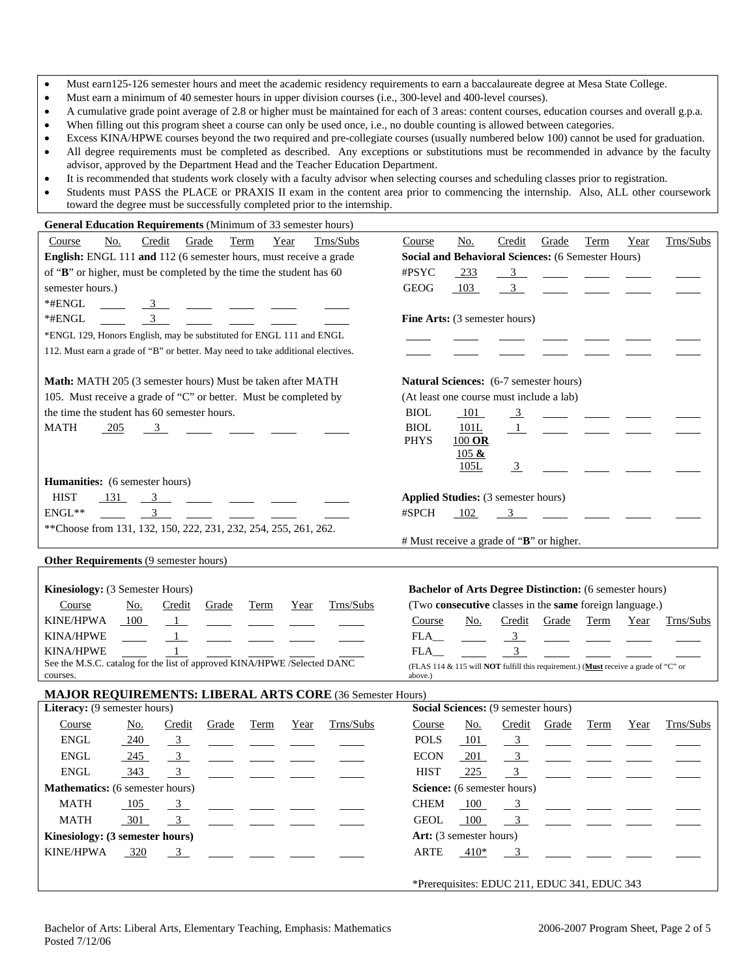- Must earn125-126 semester hours and meet the academic residency requirements to earn a baccalaureate degree at Mesa State College.
- Must earn a minimum of 40 semester hours in upper division courses (i.e., 300-level and 400-level courses).
- A cumulative grade point average of 2.8 or higher must be maintained for each of 3 areas: content courses, education courses and overall g.p.a.
- When filling out this program sheet a course can only be used once, i.e., no double counting is allowed between categories.
- Excess KINA/HPWE courses beyond the two required and pre-collegiate courses (usually numbered below 100) cannot be used for graduation. • All degree requirements must be completed as described. Any exceptions or substitutions must be recommended in advance by the faculty advisor, approved by the Department Head and the Teacher Education Department.
- It is recommended that students work closely with a faculty advisor when selecting courses and scheduling classes prior to registration.
- Students must PASS the PLACE or PRAXIS II exam in the content area prior to commencing the internship. Also, ALL other coursework toward the degree must be successfully completed prior to the internship.

| General Education Requirements (Minimum of 33 semester hours)                   |                                                                                     |
|---------------------------------------------------------------------------------|-------------------------------------------------------------------------------------|
| Credit<br>Course<br>No.<br>Grade<br>Year<br>Trns/Subs<br>Term                   | Credit<br>Grade<br>Trns/Subs<br>No.<br>Term<br>Course<br>Year                       |
| English: ENGL 111 and 112 (6 semester hours, must receive a grade               | Social and Behavioral Sciences: (6 Semester Hours)                                  |
| of "B" or higher, must be completed by the time the student has 60              | #PSYC<br>$-233$<br>$\frac{3}{2}$                                                    |
| semester hours.)                                                                | <b>GEOG</b><br>103<br>$\overline{\mathbf{3}}$                                       |
| *#ENGL<br>$\overline{\mathbf{3}}$                                               |                                                                                     |
| *#ENGL<br>$\overline{\mathbf{3}}$                                               | <b>Fine Arts:</b> (3 semester hours)                                                |
| *ENGL 129, Honors English, may be substituted for ENGL 111 and ENGL             |                                                                                     |
| 112. Must earn a grade of "B" or better. May need to take additional electives. |                                                                                     |
|                                                                                 |                                                                                     |
| Math: MATH 205 (3 semester hours) Must be taken after MATH                      | <b>Natural Sciences:</b> (6-7 semester hours)                                       |
| 105. Must receive a grade of "C" or better. Must be completed by                | (At least one course must include a lab)                                            |
| the time the student has 60 semester hours.                                     | <b>BIOL</b><br>101<br>$\frac{3}{2}$<br>$\sim$                                       |
| <b>MATH</b><br>$-205$<br>3                                                      | <b>BIOL</b><br>101L<br>$\perp$                                                      |
|                                                                                 | <b>PHYS</b><br>$100$ OR                                                             |
|                                                                                 | 105 &                                                                               |
|                                                                                 | 105L<br>$\frac{3}{2}$                                                               |
| <b>Humanities:</b> (6 semester hours)                                           |                                                                                     |
| <b>HIST</b><br>131<br>$3^{\circ}$                                               | Applied Studies: (3 semester hours)                                                 |
| $\text{ENGL}{^{**}}$<br>$3 \quad \qquad$                                        | #SPCH<br>102<br>$\overline{3}$                                                      |
| ** Choose from 131, 132, 150, 222, 231, 232, 254, 255, 261, 262.                |                                                                                     |
|                                                                                 | # Must receive a grade of "B" or higher.                                            |
| Other Requirements (9 semester hours)                                           |                                                                                     |
|                                                                                 |                                                                                     |
| Kinesiology: (3 Semester Hours)                                                 | <b>Bachelor of Arts Degree Distinction:</b> (6 semester hours)                      |
| Trns/Subs<br>Course<br>No.<br>Credit<br>Grade<br>Term<br>Year                   | (Two consecutive classes in the same foreign language.)                             |
| KINE/HPWA<br>100<br>$\perp$                                                     | No.<br>Credit<br>Grade<br>Term<br>Trns/Subs<br>Course<br>Year                       |
| KINA/HPWE<br>$\mathbf{1}$                                                       | FLA<br>$\frac{3}{2}$                                                                |
| <b>KINA/HPWE</b>                                                                | 3 <sup>7</sup><br>FLA                                                               |
| See the M.S.C. catalog for the list of approved KINA/HPWE /Selected DANC        | (FLAS 114 & 115 will NOT fulfill this requirement.) (Must receive a grade of "C" or |
| courses.                                                                        | above.)                                                                             |
| MAJOR REQUIREMENTS: LIBERAL ARTS CORE (36 Semester Hours)                       |                                                                                     |
| Literacy: (9 semester hours)                                                    | Social Sciences: (9 semester hours)                                                 |
| Trns/Subs<br>Course<br><b>Term</b><br><u>No.</u><br>Credit<br>Grade<br>Year     | <u>No.</u><br>Trns/Subs<br>Course<br>Credit<br>Grade<br>Term<br>Year                |
| <b>ENGL</b><br>$-240$<br>$\frac{3}{2}$                                          | <b>POLS</b><br>101<br>$\frac{3}{2}$                                                 |
| ENGL<br>$\overline{\phantom{0}3}$<br>245                                        | <b>ECON</b><br>3 <sup>1</sup><br>201                                                |
| 343<br>ENGL<br>3                                                                | <b>HIST</b><br>225<br>3                                                             |
| <b>Mathematics:</b> (6 semester hours)                                          | Science: (6 semester hours)                                                         |
| <b>MATH</b><br>105<br>$\frac{3}{2}$                                             | <b>CHEM</b><br>100<br>3                                                             |
| <b>MATH</b><br>301<br>3 <sup>1</sup>                                            | 100<br><b>GEOL</b><br>3 <sup>7</sup>                                                |
| Kinesiology: (3 semester hours)                                                 | Art: (3 semester hours)                                                             |
| <b>KINE/HPWA</b><br>320<br>$\frac{3}{2}$                                        | ARTE<br>$-410*$<br>3                                                                |
|                                                                                 |                                                                                     |
|                                                                                 | *Prerequisites: EDUC 211, EDUC 341, EDUC 343                                        |
|                                                                                 |                                                                                     |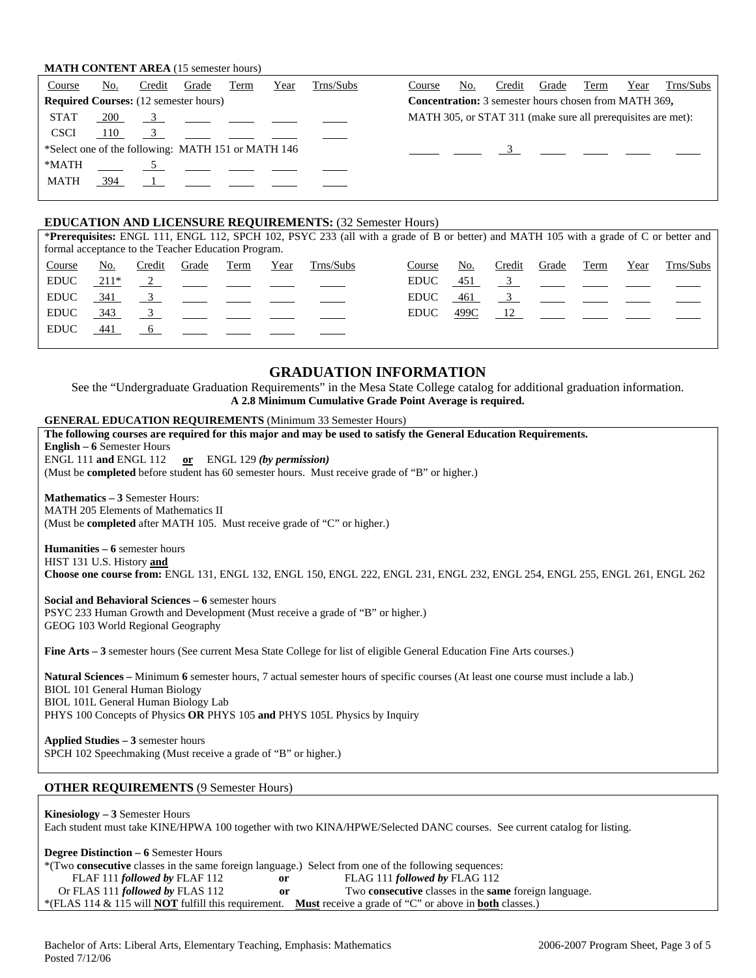### **MATH CONTENT AREA** (15 semester hours)

| Course                                             | No. | Credit | Grade           | Term | Year | Trns/Subs | Course                                                       | No. | Credit | Grade | Term | Year | Trns/Subs |
|----------------------------------------------------|-----|--------|-----------------|------|------|-----------|--------------------------------------------------------------|-----|--------|-------|------|------|-----------|
| <b>Required Courses:</b> (12 semester hours)       |     |        |                 |      |      |           | <b>Concentration:</b> 3 semester hours chosen from MATH 369, |     |        |       |      |      |           |
| <b>STAT</b>                                        | 200 |        | $\overline{3}$  |      |      |           | MATH 305, or STAT 311 (make sure all prerequisites are met): |     |        |       |      |      |           |
| <b>CSCI</b>                                        | 110 |        |                 |      |      |           |                                                              |     |        |       |      |      |           |
| *Select one of the following: MATH 151 or MATH 146 |     |        |                 |      |      |           |                                                              |     |        |       |      |      |           |
| *MATH                                              |     |        | $5\overline{)}$ |      |      |           |                                                              |     |        |       |      |      |           |
| <b>MATH</b>                                        | 394 |        | $\mathbf 1$     |      |      |           |                                                              |     |        |       |      |      |           |
|                                                    |     |        |                 |      |      |           |                                                              |     |        |       |      |      |           |

## **EDUCATION AND LICENSURE REQUIREMENTS:** (32 Semester Hours)

|                                                     |      |        |          |      |      |           | <b>*Prerequisites:</b> ENGL 111, ENGL 112, SPCH 102, PSYC 233 (all with a grade of B or better) and MATH 105 with a grade of C or better and |      |        |       |                                                                                                                                                                                                                                                                                                                                    |      |           |
|-----------------------------------------------------|------|--------|----------|------|------|-----------|----------------------------------------------------------------------------------------------------------------------------------------------|------|--------|-------|------------------------------------------------------------------------------------------------------------------------------------------------------------------------------------------------------------------------------------------------------------------------------------------------------------------------------------|------|-----------|
| formal acceptance to the Teacher Education Program. |      |        |          |      |      |           |                                                                                                                                              |      |        |       |                                                                                                                                                                                                                                                                                                                                    |      |           |
| Course                                              | No.  | Credit | Grade    | Term | Year | Trns/Subs | Course                                                                                                                                       | No.  | Credit | Grade | Term                                                                                                                                                                                                                                                                                                                               | Year | Trns/Subs |
| <b>EDUC</b>                                         | 211* |        | $\sim$ 2 |      |      |           | <b>EDUC</b>                                                                                                                                  | 451  |        |       | $\overline{3}$                                                                                                                                                                                                                                                                                                                     |      |           |
| <b>EDUC</b>                                         | 341  |        |          |      |      |           | <b>EDUC</b>                                                                                                                                  | 461  |        |       | $\overline{3}$ and $\overline{3}$ and $\overline{3}$ and $\overline{3}$ and $\overline{3}$ and $\overline{3}$ and $\overline{3}$ and $\overline{3}$ and $\overline{3}$ and $\overline{3}$ and $\overline{3}$ and $\overline{3}$ and $\overline{3}$ and $\overline{3}$ and $\overline{3}$ and $\overline{3}$ and $\overline{3}$ and |      |           |
| <b>EDUC</b>                                         | 343  |        |          |      |      |           | <b>EDUC</b>                                                                                                                                  | 499C |        |       | 12                                                                                                                                                                                                                                                                                                                                 |      |           |
| <b>EDUC</b>                                         | 441  |        |          |      |      |           |                                                                                                                                              |      |        |       |                                                                                                                                                                                                                                                                                                                                    |      |           |
|                                                     |      |        |          |      |      |           |                                                                                                                                              |      |        |       |                                                                                                                                                                                                                                                                                                                                    |      |           |

## **GRADUATION INFORMATION**

See the "Undergraduate Graduation Requirements" in the Mesa State College catalog for additional graduation information. **A 2.8 Minimum Cumulative Grade Point Average is required.**

#### **GENERAL EDUCATION REQUIREMENTS** (Minimum 33 Semester Hours)

| The following courses are required for this major and may be used to satisfy the General Education Requirements.<br><b>English – 6 Semester Hours</b><br>ENGL 111 and ENGL 112 or ENGL 129 (by permission)<br>(Must be <b>completed</b> before student has 60 semester hours. Must receive grade of "B" or higher.) |
|---------------------------------------------------------------------------------------------------------------------------------------------------------------------------------------------------------------------------------------------------------------------------------------------------------------------|
| <b>Mathematics – 3 Semester Hours:</b><br><b>MATH 205 Elements of Mathematics II</b><br>(Must be completed after MATH 105. Must receive grade of "C" or higher.)                                                                                                                                                    |
| <b>Humanities – 6</b> semester hours<br>HIST 131 U.S. History and<br>Choose one course from: ENGL 131, ENGL 132, ENGL 150, ENGL 222, ENGL 231, ENGL 232, ENGL 254, ENGL 255, ENGL 261, ENGL 262                                                                                                                     |
| Social and Behavioral Sciences - 6 semester hours<br>PSYC 233 Human Growth and Development (Must receive a grade of "B" or higher.)<br>GEOG 103 World Regional Geography                                                                                                                                            |
| <b>Fine Arts – 3</b> semester hours (See current Mesa State College for list of eligible General Education Fine Arts courses.)                                                                                                                                                                                      |
| Natural Sciences – Minimum 6 semester hours, 7 actual semester hours of specific courses (At least one course must include a lab.)<br><b>BIOL 101 General Human Biology</b><br>BIOL 101L General Human Biology Lab<br>PHYS 100 Concepts of Physics OR PHYS 105 and PHYS 105L Physics by Inquiry                     |
| Applied Studies – 3 semester hours<br>SPCH 102 Speechmaking (Must receive a grade of "B" or higher.)                                                                                                                                                                                                                |
| <b>OTHER REQUIREMENTS (9 Semester Hours)</b>                                                                                                                                                                                                                                                                        |

#### **Kinesiology – 3** Semester Hours Each student must take KINE/HPWA 100 together with two KINA/HPWE/Selected DANC courses. See current catalog for listing.

**Degree Distinction – 6** Semester Hours \*(Two **consecutive** classes in the same foreign language.) Select from one of the following sequences: FLAF 111 *followed by* FLAF 112 **or** FLAG 111 *followed by* FLAG 112 Or FLAS 111 *followed by* FLAS 112 **or** Two **consecutive** classes in the **same** foreign language. \*(FLAS 114 & 115 will **NOT** fulfill this requirement. **Must** receive a grade of "C" or above in **both** classes.)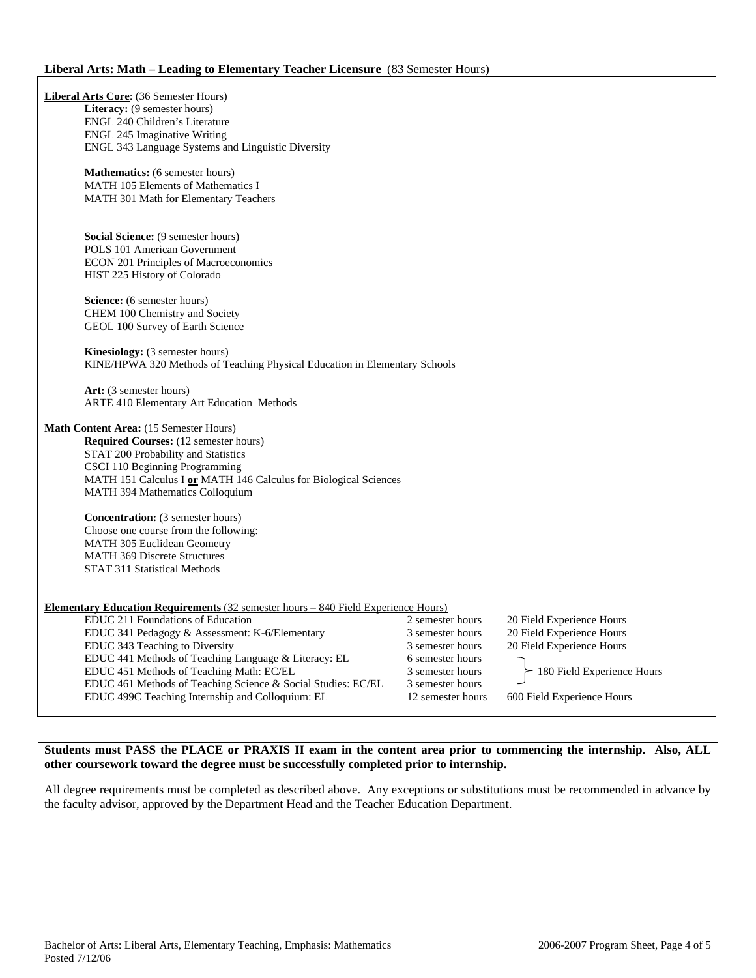## **Liberal Arts: Math – Leading to Elementary Teacher Licensure** (83 Semester Hours)

| <b>Liberal Arts Core:</b> (36 Semester Hours)                                             |                   |                            |
|-------------------------------------------------------------------------------------------|-------------------|----------------------------|
| Literacy: (9 semester hours)                                                              |                   |                            |
| ENGL 240 Children's Literature                                                            |                   |                            |
| <b>ENGL 245 Imaginative Writing</b><br>ENGL 343 Language Systems and Linguistic Diversity |                   |                            |
|                                                                                           |                   |                            |
| <b>Mathematics:</b> (6 semester hours)                                                    |                   |                            |
| MATH 105 Elements of Mathematics I                                                        |                   |                            |
| MATH 301 Math for Elementary Teachers                                                     |                   |                            |
|                                                                                           |                   |                            |
|                                                                                           |                   |                            |
| Social Science: (9 semester hours)                                                        |                   |                            |
| <b>POLS</b> 101 American Government                                                       |                   |                            |
| <b>ECON 201 Principles of Macroeconomics</b>                                              |                   |                            |
| HIST 225 History of Colorado                                                              |                   |                            |
| Science: (6 semester hours)                                                               |                   |                            |
| <b>CHEM 100 Chemistry and Society</b>                                                     |                   |                            |
| GEOL 100 Survey of Earth Science                                                          |                   |                            |
|                                                                                           |                   |                            |
| <b>Kinesiology:</b> (3 semester hours)                                                    |                   |                            |
| KINE/HPWA 320 Methods of Teaching Physical Education in Elementary Schools                |                   |                            |
|                                                                                           |                   |                            |
| Art: (3 semester hours)                                                                   |                   |                            |
| ARTE 410 Elementary Art Education Methods                                                 |                   |                            |
| <b>Math Content Area:</b> (15 Semester Hours)                                             |                   |                            |
| Required Courses: (12 semester hours)                                                     |                   |                            |
| STAT 200 Probability and Statistics                                                       |                   |                            |
| CSCI 110 Beginning Programming                                                            |                   |                            |
| MATH 151 Calculus I or MATH 146 Calculus for Biological Sciences                          |                   |                            |
| MATH 394 Mathematics Colloquium                                                           |                   |                            |
|                                                                                           |                   |                            |
| <b>Concentration:</b> (3 semester hours)                                                  |                   |                            |
| Choose one course from the following:                                                     |                   |                            |
| MATH 305 Euclidean Geometry                                                               |                   |                            |
| <b>MATH 369 Discrete Structures</b>                                                       |                   |                            |
| STAT 311 Statistical Methods                                                              |                   |                            |
|                                                                                           |                   |                            |
| <b>Elementary Education Requirements</b> (32 semester hours – 840 Field Experience Hours) |                   |                            |
| EDUC 211 Foundations of Education                                                         | 2 semester hours  | 20 Field Experience Hours  |
| EDUC 341 Pedagogy & Assessment: K-6/Elementary                                            | 3 semester hours  | 20 Field Experience Hours  |
|                                                                                           | 3 semester hours  | 20 Field Experience Hours  |
| EDUC 343 Teaching to Diversity<br>EDUC 441 Methods of Teaching Language & Literacy: EL    | 6 semester hours  |                            |
| EDUC 451 Methods of Teaching Math: EC/EL                                                  | 3 semester hours  |                            |
| EDUC 461 Methods of Teaching Science & Social Studies: EC/EL                              | 3 semester hours  | 180 Field Experience Hours |
| EDUC 499C Teaching Internship and Colloquium: EL                                          | 12 semester hours | 600 Field Experience Hours |
|                                                                                           |                   |                            |

**Students must PASS the PLACE or PRAXIS II exam in the content area prior to commencing the internship. Also, ALL other coursework toward the degree must be successfully completed prior to internship.** 

All degree requirements must be completed as described above. Any exceptions or substitutions must be recommended in advance by the faculty advisor, approved by the Department Head and the Teacher Education Department.